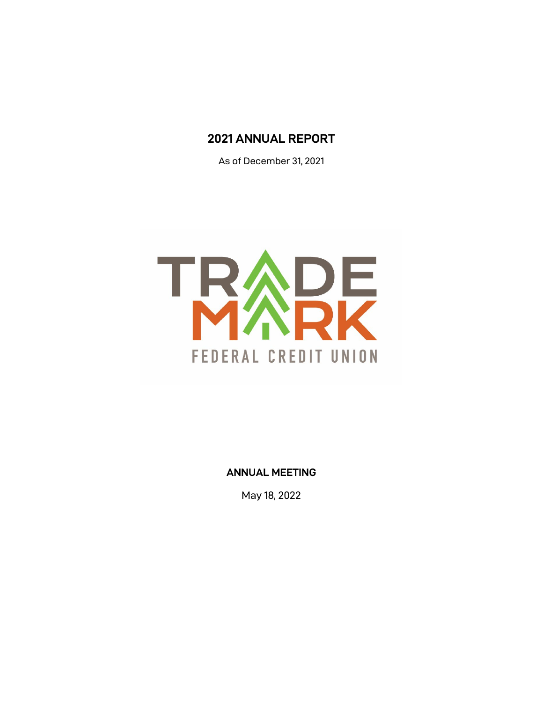# **2021 ANNUAL REPORT**

As of December 31, 2021



**ANNUAL MEETING**

May 18, 2022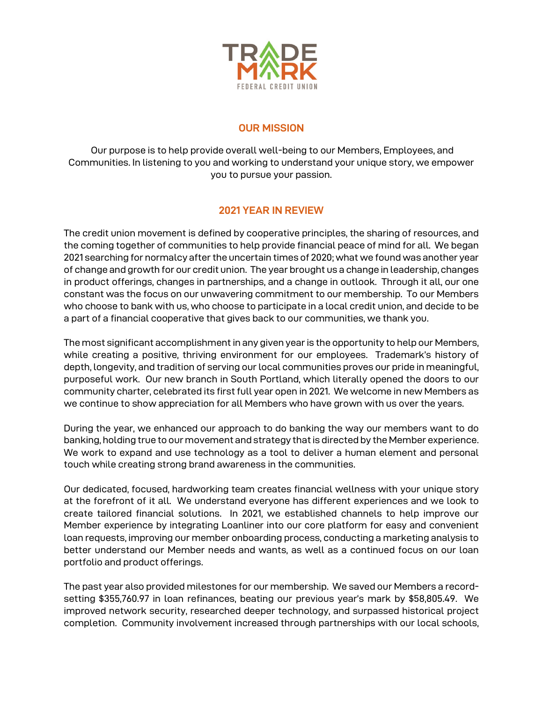

## **OUR MISSION**

Our purpose is to help provide overall well-being to our Members, Employees, and Communities. In listening to you and working to understand your unique story, we empower you to pursue your passion.

## **2021 YEAR IN REVIEW**

The credit union movement is defined by cooperative principles, the sharing of resources, and the coming together of communities to help provide financial peace of mind for all. We began 2021 searching for normalcy after the uncertain times of 2020; what we found was another year of change and growth for our credit union. The year brought us a change in leadership, changes in product offerings, changes in partnerships, and a change in outlook. Through it all, our one constant was the focus on our unwavering commitment to our membership. To our Members who choose to bank with us, who choose to participate in a local credit union, and decide to be a part of a financial cooperative that gives back to our communities, we thank you.

The most significant accomplishment in any given year is the opportunity to help our Members, while creating a positive, thriving environment for our employees. Trademark's history of depth, longevity, and tradition of serving our local communities proves our pride in meaningful, purposeful work. Our new branch in South Portland, which literally opened the doors to our community charter, celebrated its first full year open in 2021. We welcome in new Members as we continue to show appreciation for all Members who have grown with us over the years.

During the year, we enhanced our approach to do banking the way our members want to do banking, holding true to our movement and strategy that is directed by the Member experience. We work to expand and use technology as a tool to deliver a human element and personal touch while creating strong brand awareness in the communities.

Our dedicated, focused, hardworking team creates financial wellness with your unique story at the forefront of it all. We understand everyone has different experiences and we look to create tailored financial solutions. In 2021, we established channels to help improve our Member experience by integrating Loanliner into our core platform for easy and convenient loan requests, improving our member onboarding process, conducting a marketing analysis to better understand our Member needs and wants, as well as a continued focus on our loan portfolio and product offerings.

The past year also provided milestones for our membership. We saved our Members a recordsetting \$355,760.97 in loan refinances, beating our previous year's mark by \$58,805.49. We improved network security, researched deeper technology, and surpassed historical project completion. Community involvement increased through partnerships with our local schools,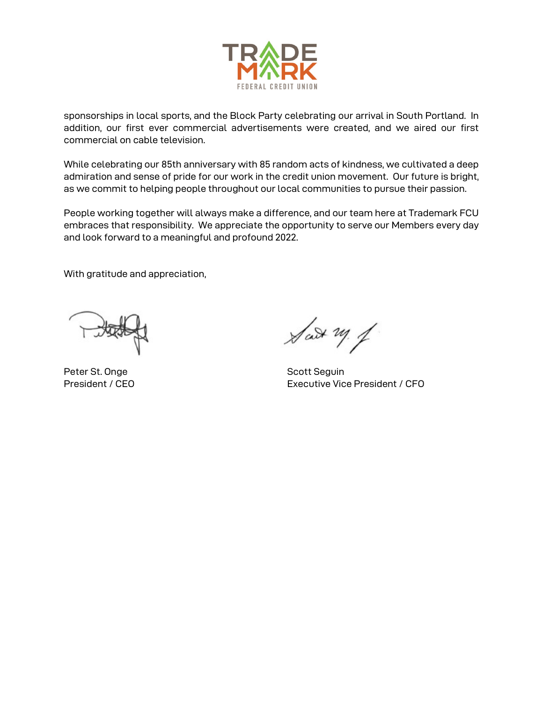

sponsorships in local sports, and the Block Party celebrating our arrival in South Portland. In addition, our first ever commercial advertisements were created, and we aired our first commercial on cable television.

While celebrating our 85th anniversary with 85 random acts of kindness, we cultivated a deep admiration and sense of pride for our work in the credit union movement. Our future is bright, as we commit to helping people throughout our local communities to pursue their passion.

People working together will always make a difference, and our team here at Trademark FCU embraces that responsibility. We appreciate the opportunity to serve our Members every day and look forward to a meaningful and profound 2022.

With gratitude and appreciation,

Peter St. Onge Scott Sequin

 $\sqrt{d}x \rightarrow y$ 

President / CEO **Executive Vice President / CFO**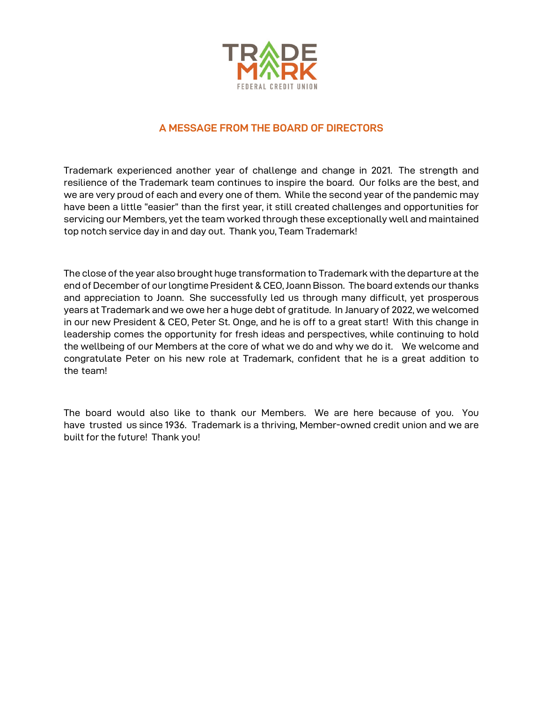

### **A MESSAGE FROM THE BOARD OF DIRECTORS**

Trademark experienced another year of challenge and change in 2021. The strength and resilience of the Trademark team continues to inspire the board. Our folks are the best, and we are very proud of each and every one of them. While the second year of the pandemic may have been a little "easier" than the first year, it still created challenges and opportunities for servicing our Members, yet the team worked through these exceptionally well and maintained top notch service day in and day out. Thank you, Team Trademark!

The close of the year also brought huge transformation to Trademark with the departure at the end of December of our longtime President & CEO, Joann Bisson. The board extends our thanks and appreciation to Joann. She successfully led us through many difficult, yet prosperous years at Trademark and we owe her a huge debt of gratitude. In January of 2022, we welcomed in our new President & CEO, Peter St. Onge, and he is off to a great start! With this change in leadership comes the opportunity for fresh ideas and perspectives, while continuing to hold the wellbeing of our Members at the core of what we do and why we do it. We welcome and congratulate Peter on his new role at Trademark, confident that he is a great addition to the team!

The board would also like to thank our Members. We are here because of you. You have trusted us since 1936. Trademark is a thriving, Member-owned credit union and we are built for the future! Thank you!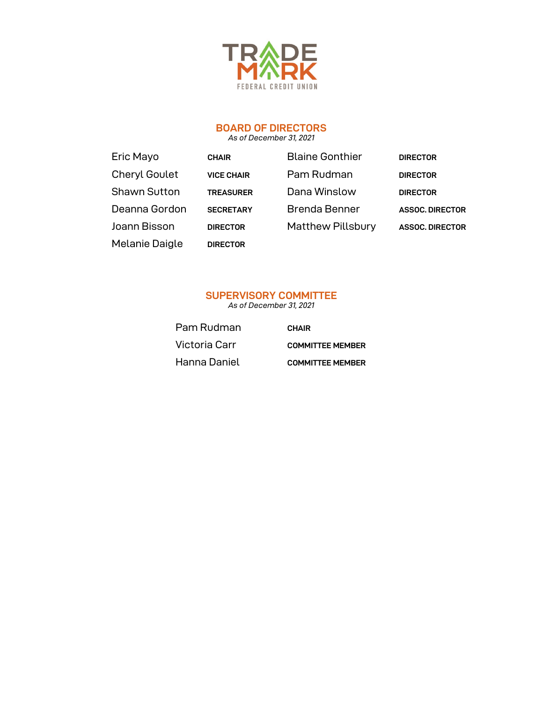

## **BOARD OF DIRECTORS**

*As of December 31, 2021*

| Eric Mayo            | <b>CHAIR</b>      | <b>Blaine Gonthier</b>   | <b>DIRECTOR</b>        |
|----------------------|-------------------|--------------------------|------------------------|
| <b>Cheryl Goulet</b> | <b>VICE CHAIR</b> | Pam Rudman               | <b>DIRECTOR</b>        |
| <b>Shawn Sutton</b>  | <b>TREASURER</b>  | Dana Winslow             | <b>DIRECTOR</b>        |
| Deanna Gordon        | <b>SECRETARY</b>  | <b>Brenda Benner</b>     | <b>ASSOC, DIRECTOR</b> |
| Joann Bisson         | <b>DIRECTOR</b>   | <b>Matthew Pillsbury</b> | <b>ASSOC, DIRECTOR</b> |
| Melanie Daigle       | <b>DIRECTOR</b>   |                          |                        |

## **SUPERVISORY COMMITTEE**

*As of December 31, 2021*

Pam Rudman **CHAIR** Hanna Daniel **COMMITTEE MEMBER**

Victoria Carr **COMMITTEE MEMBER**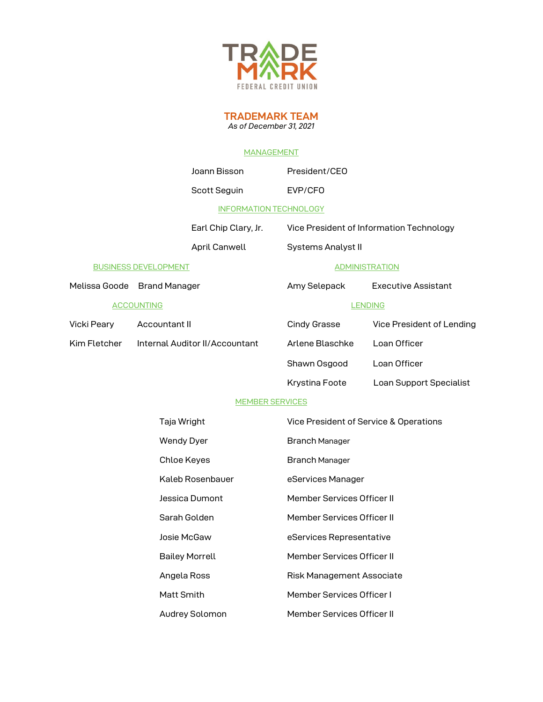

**TRADEMARK TEAM** *As of December 31, 2021* 

#### MANAGEMENT

|                             |                                            | Joann Bisson                   | President/CEO                              |                                          |
|-----------------------------|--------------------------------------------|--------------------------------|--------------------------------------------|------------------------------------------|
|                             |                                            | Scott Seguin                   | EVP/CFO                                    |                                          |
|                             |                                            | <b>INFORMATION TECHNOLOGY</b>  |                                            |                                          |
|                             |                                            | Earl Chip Clary, Jr.           |                                            | Vice President of Information Technology |
|                             |                                            | April Canwell                  | Systems Analyst II                         |                                          |
| <b>BUSINESS DEVELOPMENT</b> |                                            | <b>ADMINISTRATION</b>          |                                            |                                          |
| Melissa Goode Brand Manager |                                            |                                | Amy Selepack<br><b>Executive Assistant</b> |                                          |
|                             | <b>ACCOUNTING</b>                          |                                | <b>LENDING</b>                             |                                          |
| Vicki Peary                 | Accountant II                              |                                | Cindy Grasse                               | Vice President of Lending                |
| Kim Fletcher                |                                            | Internal Auditor II/Accountant | Arlene Blaschke                            | Loan Officer                             |
|                             |                                            |                                | Shawn Osgood                               | Loan Officer                             |
|                             |                                            |                                | Krystina Foote                             | Loan Support Specialist                  |
|                             |                                            | <b>MEMBER SERVICES</b>         |                                            |                                          |
| Taja Wright                 |                                            |                                | Vice President of Service & Operations     |                                          |
|                             | <b>Wendy Dyer</b><br><b>Branch Manager</b> |                                |                                            |                                          |
|                             |                                            | Chloe Keyes                    | <b>Branch Manager</b>                      |                                          |
|                             |                                            | Kaleb Rosenbauer               | eServices Manager                          |                                          |
|                             |                                            | Jessica Dumont                 | Member Services Officer II                 |                                          |
|                             |                                            | Sarah Golden                   | Member Services Officer II                 |                                          |
|                             |                                            | Josie McGaw                    | eServices Representative                   |                                          |
|                             |                                            | <b>Bailey Morrell</b>          | Member Services Officer II                 |                                          |
|                             |                                            | Angela Ross                    | Risk Management Associate                  |                                          |
|                             | Matt Smith                                 |                                | Member Services Officer I                  |                                          |
|                             |                                            | Audrey Solomon                 | Member Services Officer II                 |                                          |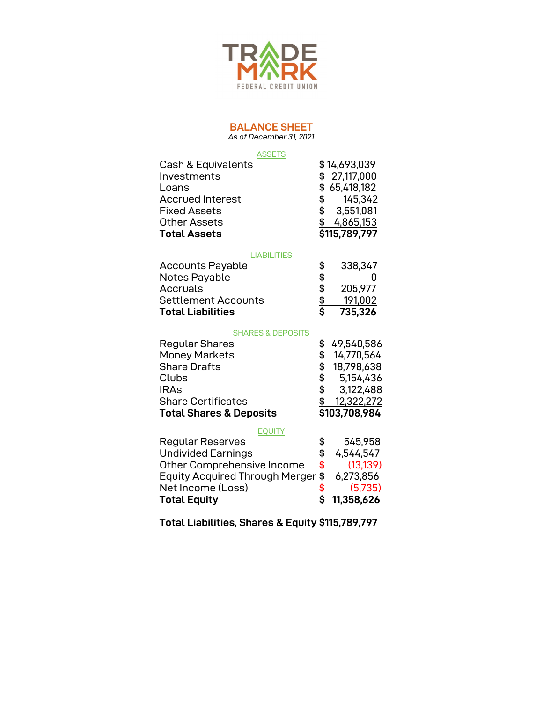

### **BALANCE SHEET**

*As of December 31, 2021* 

### **ASSETS**

| \$14,693,039                                                                                                                                                                                                                              |
|-------------------------------------------------------------------------------------------------------------------------------------------------------------------------------------------------------------------------------------------|
| \$27,117,000                                                                                                                                                                                                                              |
| \$65,418,182                                                                                                                                                                                                                              |
| 145,342<br>SS and the set of the set of the set of the set of the set of the set of the set of the set of the set of the set of the set of the set of the set of the set of the set of the set of the set of the set of the set of the se |
| \$3,551,081                                                                                                                                                                                                                               |
| 4,865,153<br>\$.                                                                                                                                                                                                                          |
| \$115,789,797                                                                                                                                                                                                                             |
|                                                                                                                                                                                                                                           |

#### **LIABILITIES**

| <b>Total Liabilities</b>   | S  | 735,326 |
|----------------------------|----|---------|
| <b>Settlement Accounts</b> | \$ | 191.002 |
| Accruals                   | \$ | 205,977 |
| Notes Payable              | \$ |         |
| <b>Accounts Payable</b>    |    | 338,347 |

#### SHARES & DEPOSITS

| Regular Shares                     | \$49,540,586     |
|------------------------------------|------------------|
| <b>Money Markets</b>               | \$14,770,564     |
| <b>Share Drafts</b>                | \$<br>18,798,638 |
| Clubs                              | \$5,154,436      |
| <b>IRAs</b>                        | \$3,122,488      |
| <b>Share Certificates</b>          | \$<br>12,322,272 |
| <b>Total Shares &amp; Deposits</b> | \$103,708,984    |

#### **EQUITY**

| <b>Total Equity</b>                         |     | \$11,358,626 |
|---------------------------------------------|-----|--------------|
| Net Income (Loss)                           |     | (5.735)      |
| Equity Acquired Through Merger \$ 6,273,856 |     |              |
| Other Comprehensive Income                  | -\$ | (13, 139)    |
| <b>Undivided Earnings</b>                   |     | 4.544.547    |
| Regular Reserves                            |     | 545,958      |

**Total Liabilities, Shares & Equity \$115,789,797**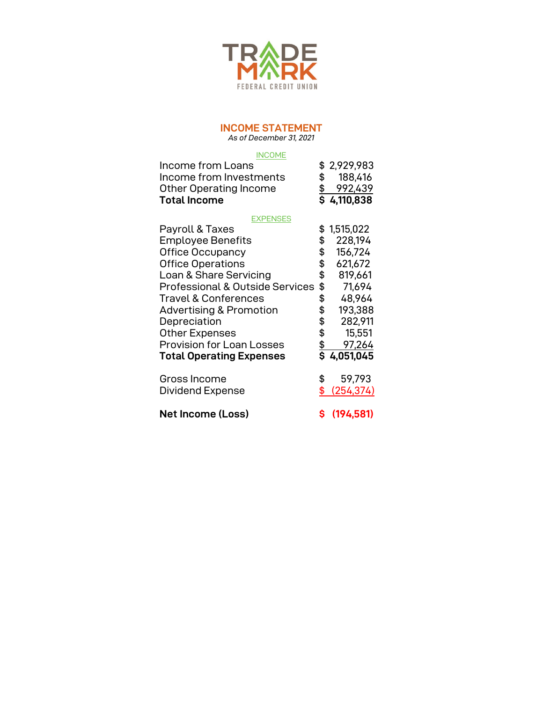

## **INCOME STATEMENT**

*As of December 31, 2021* 

#### **INCOME**

| <b>INCOME</b><br>Income from Loans<br>Income from Investments<br><b>Other Operating Income</b><br><b>Total Income</b>                                                                                                                                                                                                                                                                  | \$<br>$\frac{\$}{\$}$                                                       | \$2,929,983<br>188,416<br>992,439<br>4,110,838                                                                                   |
|----------------------------------------------------------------------------------------------------------------------------------------------------------------------------------------------------------------------------------------------------------------------------------------------------------------------------------------------------------------------------------------|-----------------------------------------------------------------------------|----------------------------------------------------------------------------------------------------------------------------------|
| <b>EXPENSES</b><br>Payroll & Taxes<br><b>Employee Benefits</b><br><b>Office Occupancy</b><br><b>Office Operations</b><br>Loan & Share Servicing<br><b>Professional &amp; Outside Services</b><br><b>Travel &amp; Conferences</b><br><b>Advertising &amp; Promotion</b><br>Depreciation<br><b>Other Expenses</b><br><b>Provision for Loan Losses</b><br><b>Total Operating Expenses</b> | \$<br>\$<br>\$<br>\$<br>\$<br>\$<br>\$<br>\$<br>\$<br>\$<br>$\frac{\$}{\$}$ | 1,515,022<br>228,194<br>156,724<br>621,672<br>819,661<br>71,694<br>48,964<br>193,388<br>282,911<br>15,551<br>97,264<br>4,051,045 |
| Gross Income<br>Dividend Expense                                                                                                                                                                                                                                                                                                                                                       | \$<br>\$                                                                    | 59,793<br>(254, 374)                                                                                                             |
| <b>Net Income (Loss)</b>                                                                                                                                                                                                                                                                                                                                                               | \$                                                                          | (194, 581)                                                                                                                       |